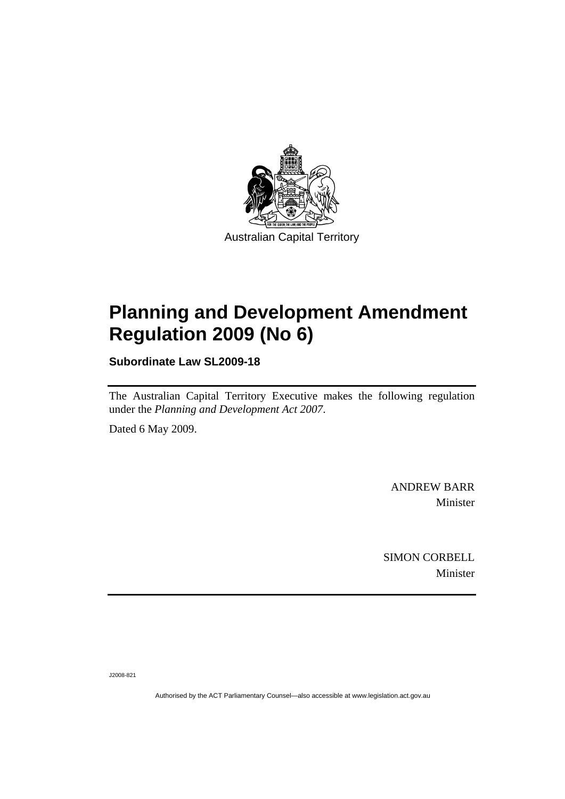

# **[Planning and Development Amendment](#page-2-0)  [Regulation 2009 \(No 6\)](#page-2-0)**

**Subordinate Law SL2009-18** 

The Australian Capital Territory Executive makes the following regulation under the *[Planning and Development Act 2007](#page-2-0)*.

Dated 6 May 2009.

ANDREW BARR Minister

SIMON CORBELL Minister

J2008-821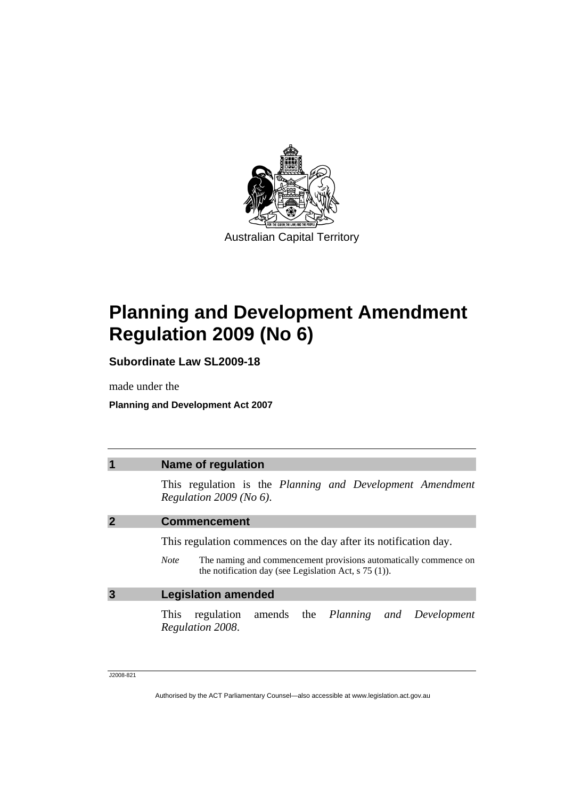<span id="page-2-0"></span>

# **Planning and Development Amendment Regulation 2009 (No 6)**

**Subordinate Law SL2009-18** 

made under the

**Planning and Development Act 2007** 

| $\overline{\mathbf{1}}$ | <b>Name of regulation</b>                                                                                                                                                                                      |
|-------------------------|----------------------------------------------------------------------------------------------------------------------------------------------------------------------------------------------------------------|
|                         | This regulation is the Planning and Development Amendment<br>Regulation $2009$ (No 6).                                                                                                                         |
| $\overline{2}$          | <b>Commencement</b>                                                                                                                                                                                            |
|                         | This regulation commences on the day after its notification day.<br>The naming and commencement provisions automatically commence on<br><b>Note</b><br>the notification day (see Legislation Act, $s$ 75 (1)). |
| $\overline{3}$          | <b>Legislation amended</b>                                                                                                                                                                                     |
|                         | regulation amends the Planning and Development<br>This<br>Regulation 2008.                                                                                                                                     |

J2008-821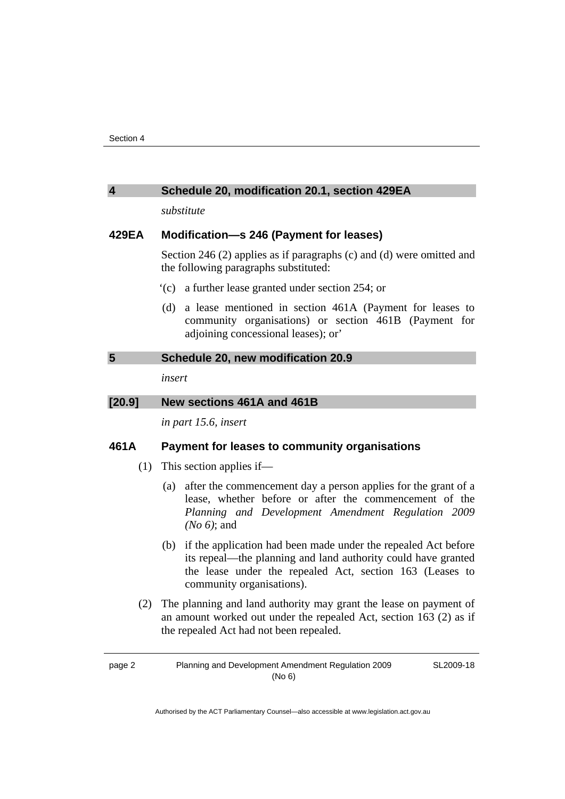| 4      | Schedule 20, modification 20.1, section 429EA                                                                                                                                                                                              |
|--------|--------------------------------------------------------------------------------------------------------------------------------------------------------------------------------------------------------------------------------------------|
|        | substitute                                                                                                                                                                                                                                 |
| 429EA  | Modification-s 246 (Payment for leases)                                                                                                                                                                                                    |
|        | Section 246 (2) applies as if paragraphs (c) and (d) were omitted and<br>the following paragraphs substituted:                                                                                                                             |
|        | (c) a further lease granted under section 254; or                                                                                                                                                                                          |
|        | a lease mentioned in section 461A (Payment for leases to<br>(d)<br>community organisations) or section 461B (Payment for<br>adjoining concessional leases); or'                                                                            |
| 5      | Schedule 20, new modification 20.9                                                                                                                                                                                                         |
|        | insert                                                                                                                                                                                                                                     |
| [20.9] | New sections 461A and 461B                                                                                                                                                                                                                 |
|        | in part 15.6, insert                                                                                                                                                                                                                       |
| 461A   | Payment for leases to community organisations                                                                                                                                                                                              |
| (1)    | This section applies if-                                                                                                                                                                                                                   |
|        | (a) after the commencement day a person applies for the grant of a<br>lease, whether before or after the commencement of the<br>Planning and Development Amendment Regulation 2009<br>$(No 6)$ ; and                                       |
|        | $A \rightarrow AB$ and $A$ and $A$ and $A$ and $A$ and $A$ and $A$ and $A$ and $B$ and $A$ and $B$ and $B$ and $B$ and $B$ and $B$ and $B$ and $B$ and $B$ and $B$ and $B$ and $B$ and $B$ and $B$ and $B$ and $B$ and $B$ and $B$ and $B$ |

- (b) if the application had been made under the repealed Act before its repeal—the planning and land authority could have granted the lease under the repealed Act, section 163 (Leases to community organisations).
- (2) The planning and land authority may grant the lease on payment of an amount worked out under the repealed Act, section 163 (2) as if the repealed Act had not been repealed.

page 2 Planning and Development Amendment Regulation 2009 (No 6)

SL2009-18